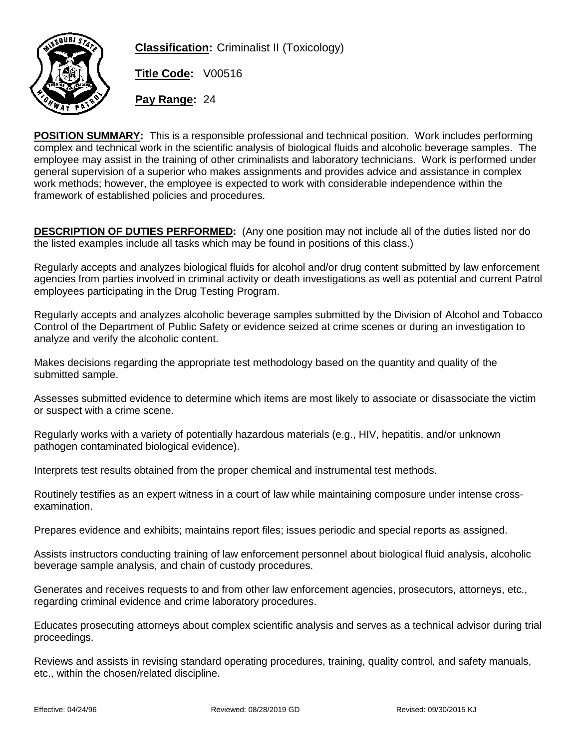

**Classification:** Criminalist II (Toxicology)

**Title Code:** V00516

**Pay Range:** 24

**POSITION SUMMARY:** This is a responsible professional and technical position. Work includes performing complex and technical work in the scientific analysis of biological fluids and alcoholic beverage samples. The employee may assist in the training of other criminalists and laboratory technicians. Work is performed under general supervision of a superior who makes assignments and provides advice and assistance in complex work methods; however, the employee is expected to work with considerable independence within the framework of established policies and procedures.

**DESCRIPTION OF DUTIES PERFORMED:** (Any one position may not include all of the duties listed nor do the listed examples include all tasks which may be found in positions of this class.)

Regularly accepts and analyzes biological fluids for alcohol and/or drug content submitted by law enforcement agencies from parties involved in criminal activity or death investigations as well as potential and current Patrol employees participating in the Drug Testing Program.

Regularly accepts and analyzes alcoholic beverage samples submitted by the Division of Alcohol and Tobacco Control of the Department of Public Safety or evidence seized at crime scenes or during an investigation to analyze and verify the alcoholic content.

Makes decisions regarding the appropriate test methodology based on the quantity and quality of the submitted sample.

Assesses submitted evidence to determine which items are most likely to associate or disassociate the victim or suspect with a crime scene.

Regularly works with a variety of potentially hazardous materials (e.g., HIV, hepatitis, and/or unknown pathogen contaminated biological evidence).

Interprets test results obtained from the proper chemical and instrumental test methods.

Routinely testifies as an expert witness in a court of law while maintaining composure under intense crossexamination.

Prepares evidence and exhibits; maintains report files; issues periodic and special reports as assigned.

Assists instructors conducting training of law enforcement personnel about biological fluid analysis, alcoholic beverage sample analysis, and chain of custody procedures.

Generates and receives requests to and from other law enforcement agencies, prosecutors, attorneys, etc., regarding criminal evidence and crime laboratory procedures.

Educates prosecuting attorneys about complex scientific analysis and serves as a technical advisor during trial proceedings.

Reviews and assists in revising standard operating procedures, training, quality control, and safety manuals, etc., within the chosen/related discipline.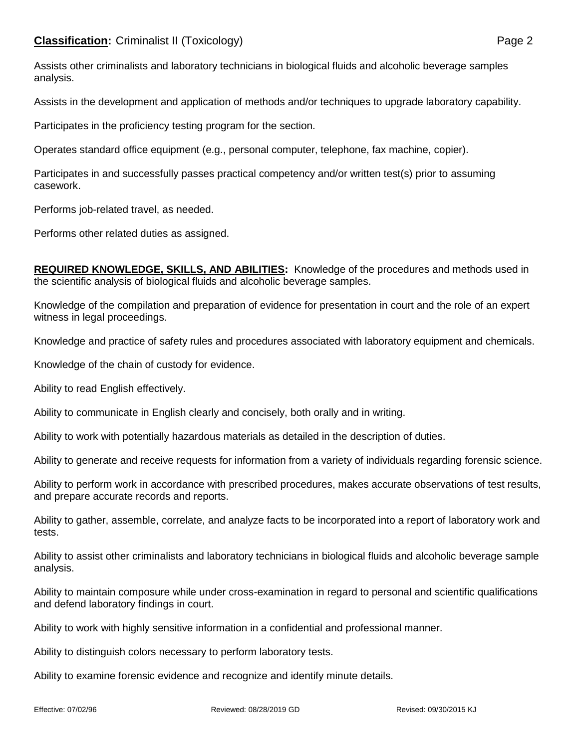Assists other criminalists and laboratory technicians in biological fluids and alcoholic beverage samples analysis.

Assists in the development and application of methods and/or techniques to upgrade laboratory capability.

Participates in the proficiency testing program for the section.

Operates standard office equipment (e.g., personal computer, telephone, fax machine, copier).

Participates in and successfully passes practical competency and/or written test(s) prior to assuming casework.

Performs job-related travel, as needed.

Performs other related duties as assigned.

**REQUIRED KNOWLEDGE, SKILLS, AND ABILITIES:** Knowledge of the procedures and methods used in the scientific analysis of biological fluids and alcoholic beverage samples.

Knowledge of the compilation and preparation of evidence for presentation in court and the role of an expert witness in legal proceedings.

Knowledge and practice of safety rules and procedures associated with laboratory equipment and chemicals.

Knowledge of the chain of custody for evidence.

Ability to read English effectively.

Ability to communicate in English clearly and concisely, both orally and in writing.

Ability to work with potentially hazardous materials as detailed in the description of duties.

Ability to generate and receive requests for information from a variety of individuals regarding forensic science.

Ability to perform work in accordance with prescribed procedures, makes accurate observations of test results, and prepare accurate records and reports.

Ability to gather, assemble, correlate, and analyze facts to be incorporated into a report of laboratory work and tests.

Ability to assist other criminalists and laboratory technicians in biological fluids and alcoholic beverage sample analysis.

Ability to maintain composure while under cross-examination in regard to personal and scientific qualifications and defend laboratory findings in court.

Ability to work with highly sensitive information in a confidential and professional manner.

Ability to distinguish colors necessary to perform laboratory tests.

Ability to examine forensic evidence and recognize and identify minute details.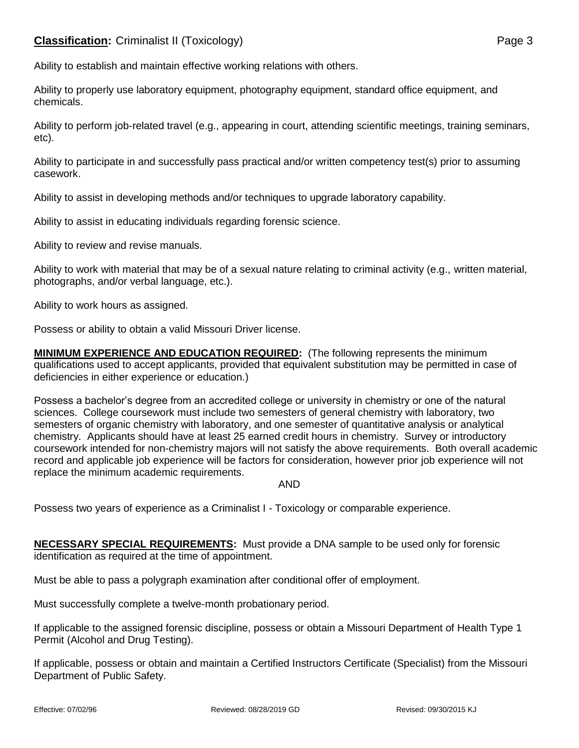Ability to establish and maintain effective working relations with others.

Ability to properly use laboratory equipment, photography equipment, standard office equipment, and chemicals.

Ability to perform job-related travel (e.g., appearing in court, attending scientific meetings, training seminars, etc).

Ability to participate in and successfully pass practical and/or written competency test(s) prior to assuming casework.

Ability to assist in developing methods and/or techniques to upgrade laboratory capability.

Ability to assist in educating individuals regarding forensic science.

Ability to review and revise manuals.

Ability to work with material that may be of a sexual nature relating to criminal activity (e.g., written material, photographs, and/or verbal language, etc.).

Ability to work hours as assigned.

Possess or ability to obtain a valid Missouri Driver license.

**MINIMUM EXPERIENCE AND EDUCATION REQUIRED:** (The following represents the minimum qualifications used to accept applicants, provided that equivalent substitution may be permitted in case of deficiencies in either experience or education.)

Possess a bachelor's degree from an accredited college or university in chemistry or one of the natural sciences. College coursework must include two semesters of general chemistry with laboratory, two semesters of organic chemistry with laboratory, and one semester of quantitative analysis or analytical chemistry. Applicants should have at least 25 earned credit hours in chemistry. Survey or introductory coursework intended for non-chemistry majors will not satisfy the above requirements. Both overall academic record and applicable job experience will be factors for consideration, however prior job experience will not replace the minimum academic requirements.

AND

Possess two years of experience as a Criminalist I - Toxicology or comparable experience.

**NECESSARY SPECIAL REQUIREMENTS:** Must provide a DNA sample to be used only for forensic identification as required at the time of appointment.

Must be able to pass a polygraph examination after conditional offer of employment.

Must successfully complete a twelve-month probationary period.

If applicable to the assigned forensic discipline, possess or obtain a Missouri Department of Health Type 1 Permit (Alcohol and Drug Testing).

If applicable, possess or obtain and maintain a Certified Instructors Certificate (Specialist) from the Missouri Department of Public Safety.